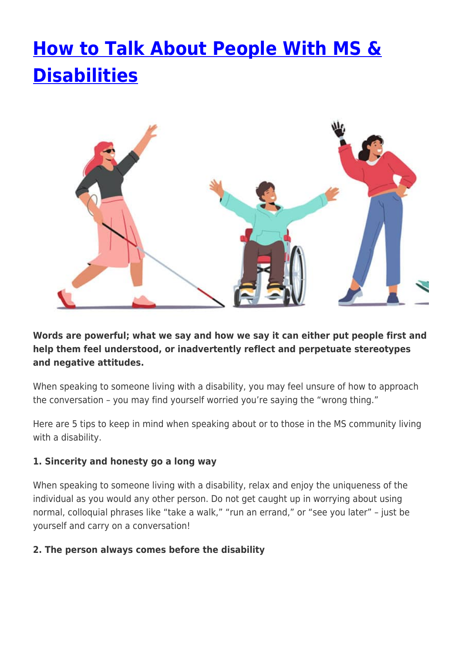# **[How to Talk About People With MS &](https://momentummagazineonline.com/blog/how-to-talk-about-people-with-ms-disabilities/) [Disabilities](https://momentummagazineonline.com/blog/how-to-talk-about-people-with-ms-disabilities/)**



**Words are powerful; what we say and how we say it can either put people first and help them feel understood, or inadvertently reflect and perpetuate stereotypes and negative attitudes.**

When speaking to someone living with a disability, you may feel unsure of how to approach the conversation – you may find yourself worried you're saying the "wrong thing."

Here are 5 tips to keep in mind when speaking about or to those in the MS community living with a disability.

## **1. Sincerity and honesty go a long way**

When speaking to someone living with a disability, relax and enjoy the uniqueness of the individual as you would any other person. Do not get caught up in worrying about using normal, colloquial phrases like "take a walk," "run an errand," or "see you later" – just be yourself and carry on a conversation!

## **2. The person always comes before the disability**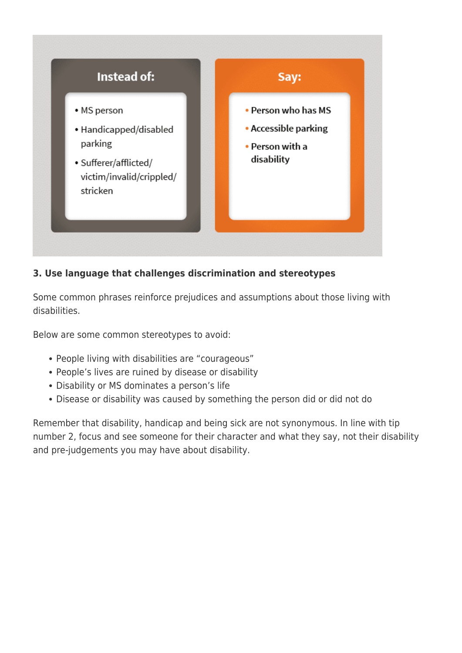

## **3. Use language that challenges discrimination and stereotypes**

Some common phrases reinforce prejudices and assumptions about those living with disabilities.

Below are some common stereotypes to avoid:

- People living with disabilities are "courageous"
- People's lives are ruined by disease or disability
- Disability or MS dominates a person's life
- Disease or disability was caused by something the person did or did not do

Remember that disability, handicap and being sick are not synonymous. In line with tip number 2, focus and see someone for their character and what they say, not their disability and pre-judgements you may have about disability.